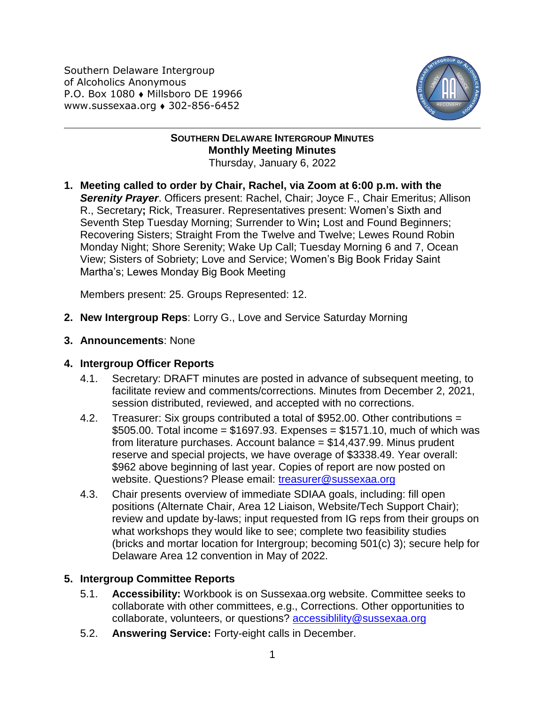Southern Delaware Intergroup of Alcoholics Anonymous P.O. Box 1080 • Millsboro DE 19966 www.sussexaa.org 302-856-6452



## **SOUTHERN DELAWARE INTERGROUP MINUTES Monthly Meeting Minutes** Thursday, January 6, 2022

**1. Meeting called to order by Chair, Rachel, via Zoom at 6:00 p.m. with the Serenity Prayer**. Officers present: Rachel, Chair; Joyce F., Chair Emeritus; Allison R., Secretary**;** Rick, Treasurer. Representatives present: Women's Sixth and Seventh Step Tuesday Morning; Surrender to Win**;** Lost and Found Beginners; Recovering Sisters; Straight From the Twelve and Twelve; Lewes Round Robin Monday Night; Shore Serenity; Wake Up Call; Tuesday Morning 6 and 7, Ocean View; Sisters of Sobriety; Love and Service; Women's Big Book Friday Saint Martha's; Lewes Monday Big Book Meeting

Members present: 25. Groups Represented: 12.

- **2. New Intergroup Reps**: Lorry G., Love and Service Saturday Morning
- **3. Announcements**: None

## **4. Intergroup Officer Reports**

- 4.1. Secretary: DRAFT minutes are posted in advance of subsequent meeting, to facilitate review and comments/corrections. Minutes from December 2, 2021, session distributed, reviewed, and accepted with no corrections.
- 4.2. Treasurer: Six groups contributed a total of \$952.00. Other contributions =  $$505.00.$  Total income =  $$1697.93.$  Expenses =  $$1571.10$ , much of which was from literature purchases. Account balance = \$14,437.99. Minus prudent reserve and special projects, we have overage of \$3338.49. Year overall: \$962 above beginning of last year. Copies of report are now posted on website. Questions? Please email: [treasurer@sussexaa.org](mailto:treasurer@sussexaa.org)
- 4.3. Chair presents overview of immediate SDIAA goals, including: fill open positions (Alternate Chair, Area 12 Liaison, Website/Tech Support Chair); review and update by-laws; input requested from IG reps from their groups on what workshops they would like to see; complete two feasibility studies (bricks and mortar location for Intergroup; becoming 501(c) 3); secure help for Delaware Area 12 convention in May of 2022.

## **5. Intergroup Committee Reports**

- 5.1. **Accessibility:** Workbook is on Sussexaa.org website. Committee seeks to collaborate with other committees, e.g., Corrections. Other opportunities to collaborate, volunteers, or questions? [accessiblility@sussexaa.org](mailto:accessiblility@sussexaa.org)
- 5.2. **Answering Service:** Forty-eight calls in December.